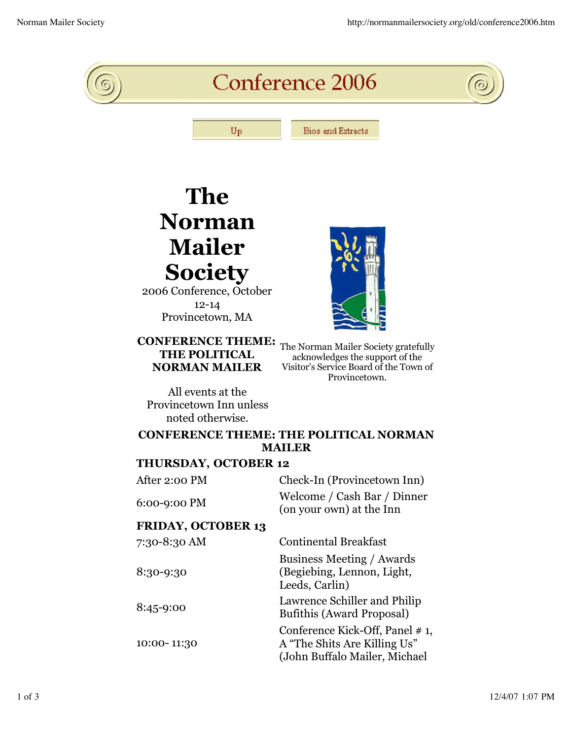

## **The Norman Mailer Society**

2006 Conference, October 12-14 Provincetown, MA

## **CONFERENCE THEME: NORMAN MAILER**

**THE POLITICAL** The Norman Mailer Society gratefully<br> **THE POLITICAL** acknowledges the support of the acknowledges the support of the Visitor's Service Board of the Town of Provincetown.

All events at the Provincetown Inn unless noted otherwise.

## **CONFERENCE THEME: THE POLITICAL NORMAN MAILER**

## **THURSDAY, OCTOBER 12**

| Check-In (Provincetown Inn)                                                                      |
|--------------------------------------------------------------------------------------------------|
| Welcome / Cash Bar / Dinner<br>(on your own) at the Inn                                          |
|                                                                                                  |
| <b>Continental Breakfast</b>                                                                     |
| Business Meeting / Awards<br>(Begiebing, Lennon, Light,<br>Leeds, Carlin)                        |
| Lawrence Schiller and Philip<br><b>Bufithis (Award Proposal)</b>                                 |
| Conference Kick-Off, Panel # 1,<br>A "The Shits Are Killing Us"<br>(John Buffalo Mailer, Michael |
|                                                                                                  |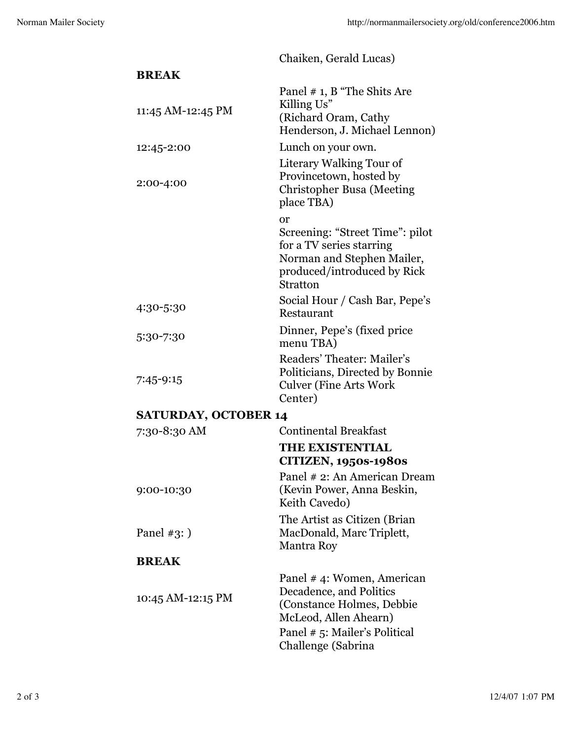Chaiken, Gerald Lucas)

| <b>BREAK</b>                |                                                                                                                                                                   |
|-----------------------------|-------------------------------------------------------------------------------------------------------------------------------------------------------------------|
| 11:45 AM-12:45 PM           | Panel # 1, B "The Shits Are<br>Killing Us"<br>(Richard Oram, Cathy<br>Henderson, J. Michael Lennon)                                                               |
| 12:45-2:00                  | Lunch on your own.                                                                                                                                                |
| 2:00-4:00                   | Literary Walking Tour of<br>Provincetown, hosted by<br><b>Christopher Busa (Meeting</b><br>place TBA)                                                             |
|                             | or<br>Screening: "Street Time": pilot<br>for a TV series starring<br>Norman and Stephen Mailer,<br>produced/introduced by Rick<br>Stratton                        |
| 4:30-5:30                   | Social Hour / Cash Bar, Pepe's<br>Restaurant                                                                                                                      |
| 5:30-7:30                   | Dinner, Pepe's (fixed price)<br>menu TBA)                                                                                                                         |
| 7:45-9:15                   | Readers' Theater: Mailer's<br>Politicians, Directed by Bonnie<br><b>Culver (Fine Arts Work)</b><br>Center)                                                        |
| <b>SATURDAY, OCTOBER 14</b> |                                                                                                                                                                   |
| 7:30-8:30 AM                | <b>Continental Breakfast</b>                                                                                                                                      |
|                             | THE EXISTENTIAL<br><b>CITIZEN, 1950s-1980s</b>                                                                                                                    |
| 9:00-10:30                  | Panel # 2: An American Dream<br>(Kevin Power, Anna Beskin,<br>Keith Cavedo)                                                                                       |
| Panel $#3:$ )               | The Artist as Citizen (Brian)<br>MacDonald, Marc Triplett,<br><b>Mantra Roy</b>                                                                                   |
| <b>BREAK</b>                |                                                                                                                                                                   |
| 10:45 AM-12:15 PM           | Panel #4: Women, American<br>Decadence, and Politics<br>(Constance Holmes, Debbie<br>McLeod, Allen Ahearn)<br>Panel # 5: Mailer's Political<br>Challenge (Sabrina |